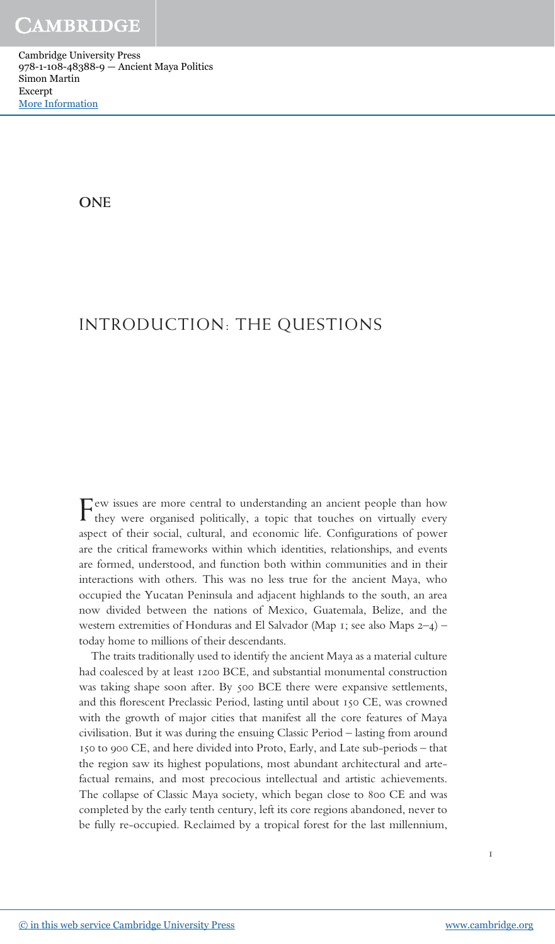Cambridge University Press 978-1-108-48388-9 — Ancient Maya Politics Simon Martin Excerpt [More Information](www.cambridge.org/9781108483889)

**ONE** 

# INTRODUCTION: THE QUESTIONS

Few issues are more central to understanding an ancient people than how they were organised politically, a topic that touches on virtually every ew issues are more central to understanding an ancient people than how aspect of their social, cultural, and economic life. Configurations of power are the critical frameworks within which identities, relationships, and events are formed, understood, and function both within communities and in their interactions with others. This was no less true for the ancient Maya, who occupied the Yucatan Peninsula and adjacent highlands to the south, an area now divided between the nations of Mexico, Guatemala, Belize, and the western extremities of Honduras and El Salvador (Map 1; see also Maps 2–4) – today home to millions of their descendants.

The traits traditionally used to identify the ancient Maya as a material culture had coalesced by at least 1200 BCE, and substantial monumental construction was taking shape soon after. By 500 BCE there were expansive settlements, and this florescent Preclassic Period, lasting until about 150 CE, was crowned with the growth of major cities that manifest all the core features of Maya civilisation. But it was during the ensuing Classic Period – lasting from around 150 to 900 CE, and here divided into Proto, Early, and Late sub-periods – that the region saw its highest populations, most abundant architectural and artefactual remains, and most precocious intellectual and artistic achievements. The collapse of Classic Maya society, which began close to 800 CE and was completed by the early tenth century, left its core regions abandoned, never to be fully re-occupied. Reclaimed by a tropical forest for the last millennium,

1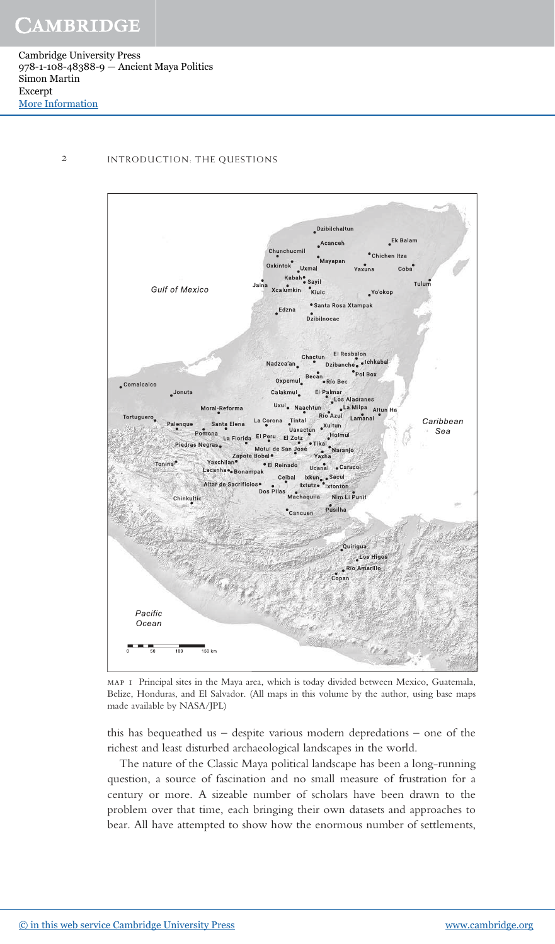Cambridge University Press 978-1-108-48388-9 — Ancient Maya Politics Simon Martin Excerpt [More Information](www.cambridge.org/9781108483889)

# 2 INTRODUCTION: THE QUESTIONS



map 1 Principal sites in the Maya area, which is today divided between Mexico, Guatemala, Belize, Honduras, and El Salvador. (All maps in this volume by the author, using base maps made available by NASA/JPL)

this has bequeathed us – despite various modern depredations – one of the richest and least disturbed archaeological landscapes in the world.

The nature of the Classic Maya political landscape has been a long-running question, a source of fascination and no small measure of frustration for a century or more. A sizeable number of scholars have been drawn to the problem over that time, each bringing their own datasets and approaches to bear. All have attempted to show how the enormous number of settlements,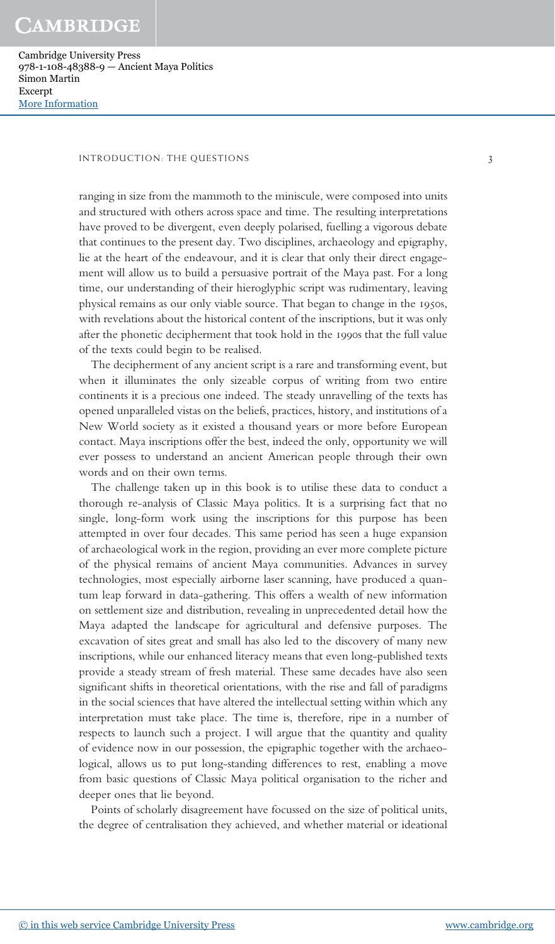Cambridge University Press 978-1-108-48388-9 — Ancient Maya Politics Simon Martin Excerpt [More Information](www.cambridge.org/9781108483889)

#### INTRODUCTION: THE QUESTIONS  $\frac{3}{3}$

ranging in size from the mammoth to the miniscule, were composed into units and structured with others across space and time. The resulting interpretations have proved to be divergent, even deeply polarised, fuelling a vigorous debate that continues to the present day. Two disciplines, archaeology and epigraphy, lie at the heart of the endeavour, and it is clear that only their direct engagement will allow us to build a persuasive portrait of the Maya past. For a long time, our understanding of their hieroglyphic script was rudimentary, leaving physical remains as our only viable source. That began to change in the 1950s, with revelations about the historical content of the inscriptions, but it was only after the phonetic decipherment that took hold in the 1990s that the full value of the texts could begin to be realised.

The decipherment of any ancient script is a rare and transforming event, but when it illuminates the only sizeable corpus of writing from two entire continents it is a precious one indeed. The steady unravelling of the texts has opened unparalleled vistas on the beliefs, practices, history, and institutions of a New World society as it existed a thousand years or more before European contact. Maya inscriptions offer the best, indeed the only, opportunity we will ever possess to understand an ancient American people through their own words and on their own terms.

The challenge taken up in this book is to utilise these data to conduct a thorough re-analysis of Classic Maya politics. It is a surprising fact that no single, long-form work using the inscriptions for this purpose has been attempted in over four decades. This same period has seen a huge expansion of archaeological work in the region, providing an ever more complete picture of the physical remains of ancient Maya communities. Advances in survey technologies, most especially airborne laser scanning, have produced a quantum leap forward in data-gathering. This offers a wealth of new information on settlement size and distribution, revealing in unprecedented detail how the Maya adapted the landscape for agricultural and defensive purposes. The excavation of sites great and small has also led to the discovery of many new inscriptions, while our enhanced literacy means that even long-published texts provide a steady stream of fresh material. These same decades have also seen significant shifts in theoretical orientations, with the rise and fall of paradigms in the social sciences that have altered the intellectual setting within which any interpretation must take place. The time is, therefore, ripe in a number of respects to launch such a project. I will argue that the quantity and quality of evidence now in our possession, the epigraphic together with the archaeological, allows us to put long-standing differences to rest, enabling a move from basic questions of Classic Maya political organisation to the richer and deeper ones that lie beyond.

Points of scholarly disagreement have focussed on the size of political units, the degree of centralisation they achieved, and whether material or ideational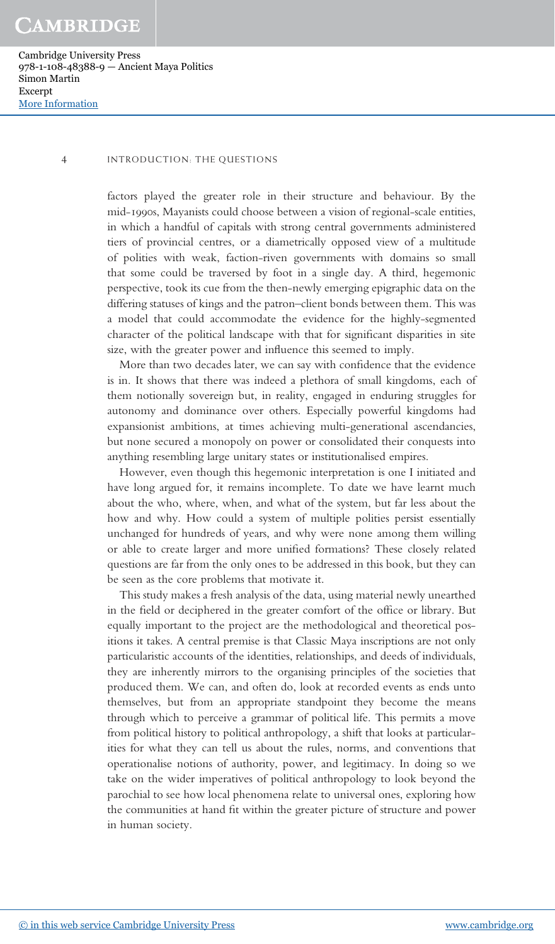Cambridge University Press 978-1-108-48388-9 — Ancient Maya Politics Simon Martin Excerpt [More Information](www.cambridge.org/9781108483889)

#### 4 INTRODUCTION: THE QUESTIONS

factors played the greater role in their structure and behaviour. By the mid-1990s, Mayanists could choose between a vision of regional-scale entities, in which a handful of capitals with strong central governments administered tiers of provincial centres, or a diametrically opposed view of a multitude of polities with weak, faction-riven governments with domains so small that some could be traversed by foot in a single day. A third, hegemonic perspective, took its cue from the then-newly emerging epigraphic data on the differing statuses of kings and the patron–client bonds between them. This was a model that could accommodate the evidence for the highly-segmented character of the political landscape with that for significant disparities in site size, with the greater power and influence this seemed to imply.

More than two decades later, we can say with confidence that the evidence is in. It shows that there was indeed a plethora of small kingdoms, each of them notionally sovereign but, in reality, engaged in enduring struggles for autonomy and dominance over others. Especially powerful kingdoms had expansionist ambitions, at times achieving multi-generational ascendancies, but none secured a monopoly on power or consolidated their conquests into anything resembling large unitary states or institutionalised empires.

However, even though this hegemonic interpretation is one I initiated and have long argued for, it remains incomplete. To date we have learnt much about the who, where, when, and what of the system, but far less about the how and why. How could a system of multiple polities persist essentially unchanged for hundreds of years, and why were none among them willing or able to create larger and more unified formations? These closely related questions are far from the only ones to be addressed in this book, but they can be seen as the core problems that motivate it.

This study makes a fresh analysis of the data, using material newly unearthed in the field or deciphered in the greater comfort of the office or library. But equally important to the project are the methodological and theoretical positions it takes. A central premise is that Classic Maya inscriptions are not only particularistic accounts of the identities, relationships, and deeds of individuals, they are inherently mirrors to the organising principles of the societies that produced them. We can, and often do, look at recorded events as ends unto themselves, but from an appropriate standpoint they become the means through which to perceive a grammar of political life. This permits a move from political history to political anthropology, a shift that looks at particularities for what they can tell us about the rules, norms, and conventions that operationalise notions of authority, power, and legitimacy. In doing so we take on the wider imperatives of political anthropology to look beyond the parochial to see how local phenomena relate to universal ones, exploring how the communities at hand fit within the greater picture of structure and power in human society.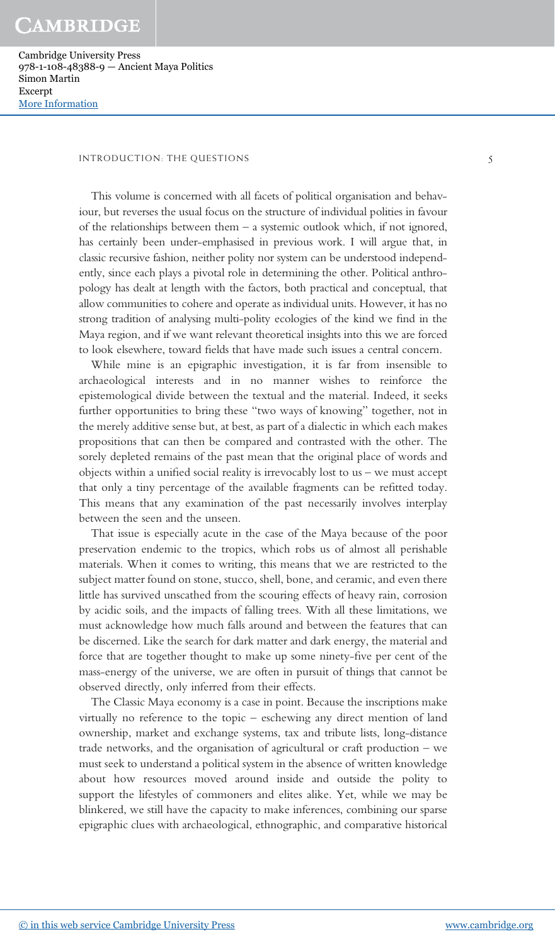Cambridge University Press 978-1-108-48388-9 — Ancient Maya Politics Simon Martin Excerpt [More Information](www.cambridge.org/9781108483889)

#### INTRODUCTION: THE QUESTIONS **5**

This volume is concerned with all facets of political organisation and behaviour, but reverses the usual focus on the structure of individual polities in favour of the relationships between them  $-$  a systemic outlook which, if not ignored, has certainly been under-emphasised in previous work. I will argue that, in classic recursive fashion, neither polity nor system can be understood independently, since each plays a pivotal role in determining the other. Political anthropology has dealt at length with the factors, both practical and conceptual, that allow communities to cohere and operate as individual units. However, it has no strong tradition of analysing multi-polity ecologies of the kind we find in the Maya region, and if we want relevant theoretical insights into this we are forced to look elsewhere, toward fields that have made such issues a central concern.

While mine is an epigraphic investigation, it is far from insensible to archaeological interests and in no manner wishes to reinforce the epistemological divide between the textual and the material. Indeed, it seeks further opportunities to bring these "two ways of knowing" together, not in the merely additive sense but, at best, as part of a dialectic in which each makes propositions that can then be compared and contrasted with the other. The sorely depleted remains of the past mean that the original place of words and objects within a unified social reality is irrevocably lost to us – we must accept that only a tiny percentage of the available fragments can be refitted today. This means that any examination of the past necessarily involves interplay between the seen and the unseen.

That issue is especially acute in the case of the Maya because of the poor preservation endemic to the tropics, which robs us of almost all perishable materials. When it comes to writing, this means that we are restricted to the subject matter found on stone, stucco, shell, bone, and ceramic, and even there little has survived unscathed from the scouring effects of heavy rain, corrosion by acidic soils, and the impacts of falling trees. With all these limitations, we must acknowledge how much falls around and between the features that can be discerned. Like the search for dark matter and dark energy, the material and force that are together thought to make up some ninety-five per cent of the mass-energy of the universe, we are often in pursuit of things that cannot be observed directly, only inferred from their effects.

The Classic Maya economy is a case in point. Because the inscriptions make virtually no reference to the topic – eschewing any direct mention of land ownership, market and exchange systems, tax and tribute lists, long-distance trade networks, and the organisation of agricultural or craft production – we must seek to understand a political system in the absence of written knowledge about how resources moved around inside and outside the polity to support the lifestyles of commoners and elites alike. Yet, while we may be blinkered, we still have the capacity to make inferences, combining our sparse epigraphic clues with archaeological, ethnographic, and comparative historical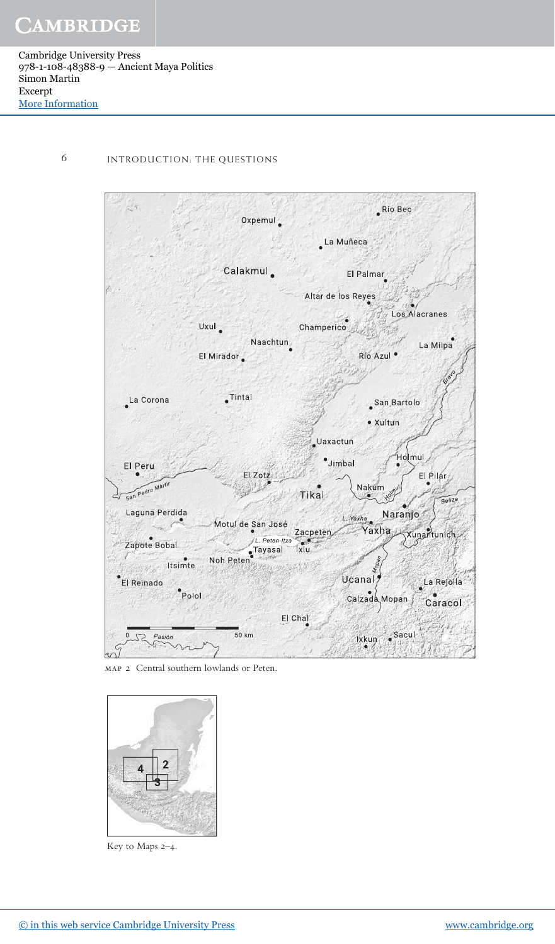Cambridge University Press 978-1-108-48388-9 — Ancient Maya Politics Simon Martin Excerpt [More Information](www.cambridge.org/9781108483889)

6 INTRODUCTION: THE QUESTIONS



map 2 Central southern lowlands or Peten.



Key to Maps 2–4.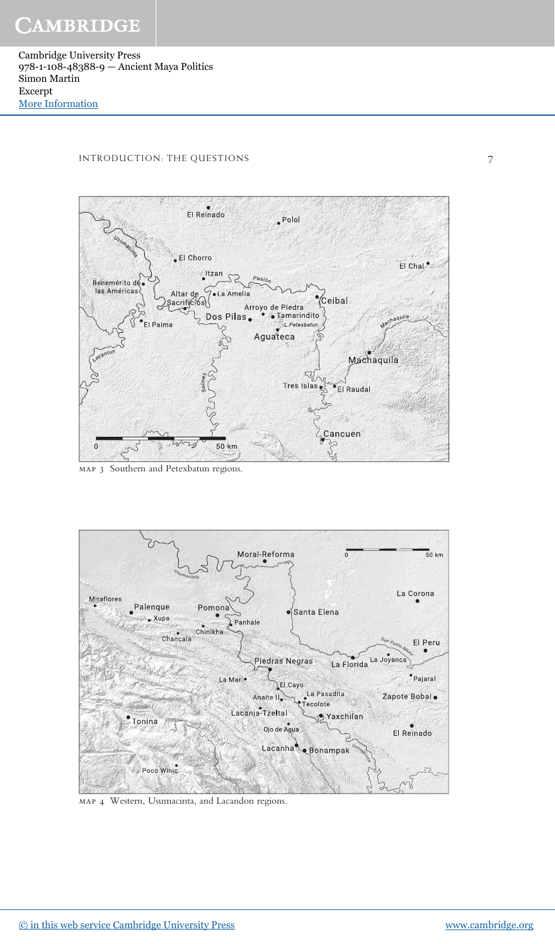Cambridge University Press 978-1-108-48388-9 — Ancient Maya Politics Simon Martin Excerpt [More Information](www.cambridge.org/9781108483889)





map 3 Southern and Petexbatun regions.



map 4 Western, Usumacinta, and Lacandon regions.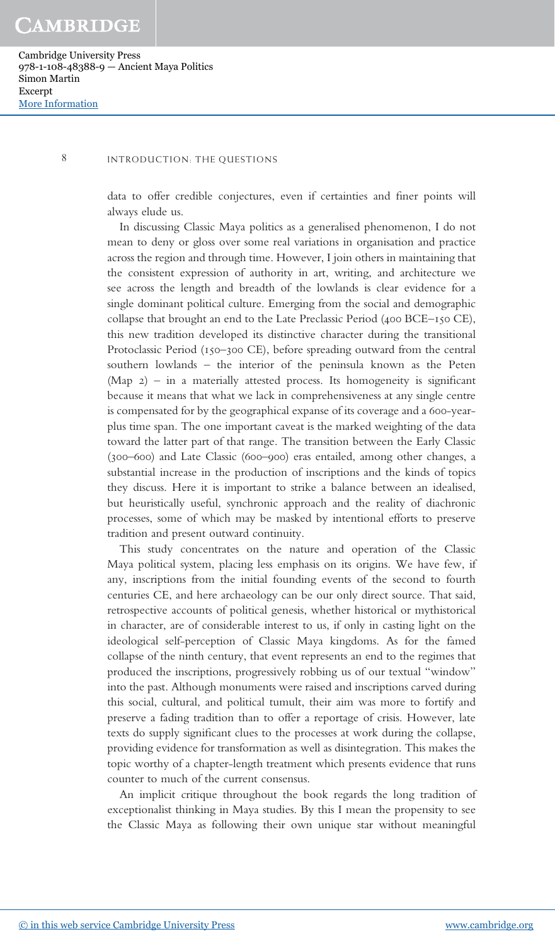Cambridge University Press 978-1-108-48388-9 — Ancient Maya Politics Simon Martin Excerpt [More Information](www.cambridge.org/9781108483889)

# 8 INTRODUCTION: THE QUESTIONS

data to offer credible conjectures, even if certainties and finer points will always elude us.

In discussing Classic Maya politics as a generalised phenomenon, I do not mean to deny or gloss over some real variations in organisation and practice across the region and through time. However, I join others in maintaining that the consistent expression of authority in art, writing, and architecture we see across the length and breadth of the lowlands is clear evidence for a single dominant political culture. Emerging from the social and demographic collapse that brought an end to the Late Preclassic Period (400 BCE–150 CE), this new tradition developed its distinctive character during the transitional Protoclassic Period (150–300 CE), before spreading outward from the central southern lowlands – the interior of the peninsula known as the Peten (Map  $2$ ) – in a materially attested process. Its homogeneity is significant because it means that what we lack in comprehensiveness at any single centre is compensated for by the geographical expanse of its coverage and a 600-yearplus time span. The one important caveat is the marked weighting of the data toward the latter part of that range. The transition between the Early Classic (300–600) and Late Classic (600–900) eras entailed, among other changes, a substantial increase in the production of inscriptions and the kinds of topics they discuss. Here it is important to strike a balance between an idealised, but heuristically useful, synchronic approach and the reality of diachronic processes, some of which may be masked by intentional efforts to preserve tradition and present outward continuity.

This study concentrates on the nature and operation of the Classic Maya political system, placing less emphasis on its origins. We have few, if any, inscriptions from the initial founding events of the second to fourth centuries CE, and here archaeology can be our only direct source. That said, retrospective accounts of political genesis, whether historical or mythistorical in character, are of considerable interest to us, if only in casting light on the ideological self-perception of Classic Maya kingdoms. As for the famed collapse of the ninth century, that event represents an end to the regimes that produced the inscriptions, progressively robbing us of our textual "window" into the past. Although monuments were raised and inscriptions carved during this social, cultural, and political tumult, their aim was more to fortify and preserve a fading tradition than to offer a reportage of crisis. However, late texts do supply significant clues to the processes at work during the collapse, providing evidence for transformation as well as disintegration. This makes the topic worthy of a chapter-length treatment which presents evidence that runs counter to much of the current consensus.

An implicit critique throughout the book regards the long tradition of exceptionalist thinking in Maya studies. By this I mean the propensity to see the Classic Maya as following their own unique star without meaningful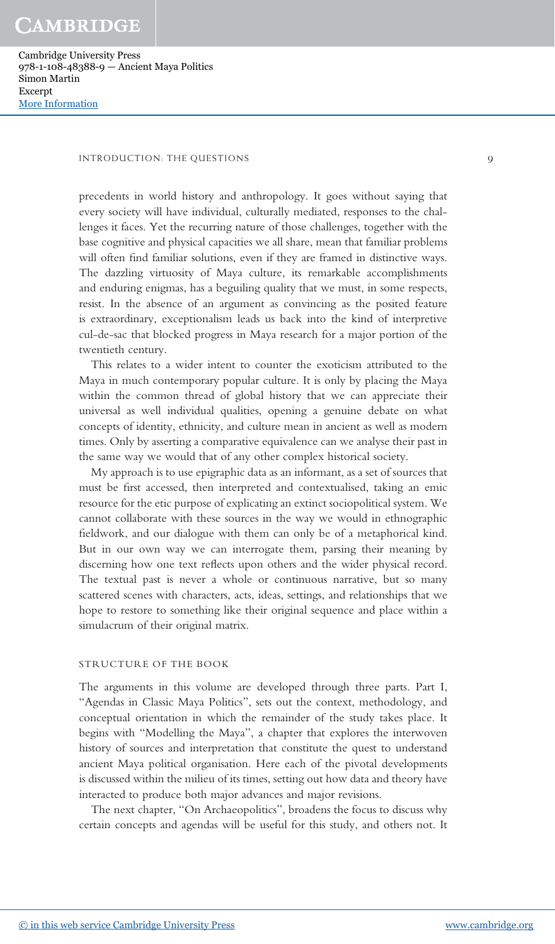Cambridge University Press 978-1-108-48388-9 — Ancient Maya Politics Simon Martin Excerpt [More Information](www.cambridge.org/9781108483889)

#### INTRODUCTION: THE QUESTIONS 9

precedents in world history and anthropology. It goes without saying that every society will have individual, culturally mediated, responses to the challenges it faces. Yet the recurring nature of those challenges, together with the base cognitive and physical capacities we all share, mean that familiar problems will often find familiar solutions, even if they are framed in distinctive ways. The dazzling virtuosity of Maya culture, its remarkable accomplishments and enduring enigmas, has a beguiling quality that we must, in some respects, resist. In the absence of an argument as convincing as the posited feature is extraordinary, exceptionalism leads us back into the kind of interpretive cul-de-sac that blocked progress in Maya research for a major portion of the twentieth century.

This relates to a wider intent to counter the exoticism attributed to the Maya in much contemporary popular culture. It is only by placing the Maya within the common thread of global history that we can appreciate their universal as well individual qualities, opening a genuine debate on what concepts of identity, ethnicity, and culture mean in ancient as well as modern times. Only by asserting a comparative equivalence can we analyse their past in the same way we would that of any other complex historical society.

My approach is to use epigraphic data as an informant, as a set of sources that must be first accessed, then interpreted and contextualised, taking an emic resource for the etic purpose of explicating an extinct sociopolitical system. We cannot collaborate with these sources in the way we would in ethnographic fieldwork, and our dialogue with them can only be of a metaphorical kind. But in our own way we can interrogate them, parsing their meaning by discerning how one text reflects upon others and the wider physical record. The textual past is never a whole or continuous narrative, but so many scattered scenes with characters, acts, ideas, settings, and relationships that we hope to restore to something like their original sequence and place within a simulacrum of their original matrix.

## STRUCTURE OF THE BOOK

The arguments in this volume are developed through three parts. Part I, "Agendas in Classic Maya Politics", sets out the context, methodology, and conceptual orientation in which the remainder of the study takes place. It begins with "Modelling the Maya", a chapter that explores the interwoven history of sources and interpretation that constitute the quest to understand ancient Maya political organisation. Here each of the pivotal developments is discussed within the milieu of its times, setting out how data and theory have interacted to produce both major advances and major revisions.

The next chapter, "On Archaeopolitics", broadens the focus to discuss why certain concepts and agendas will be useful for this study, and others not. It